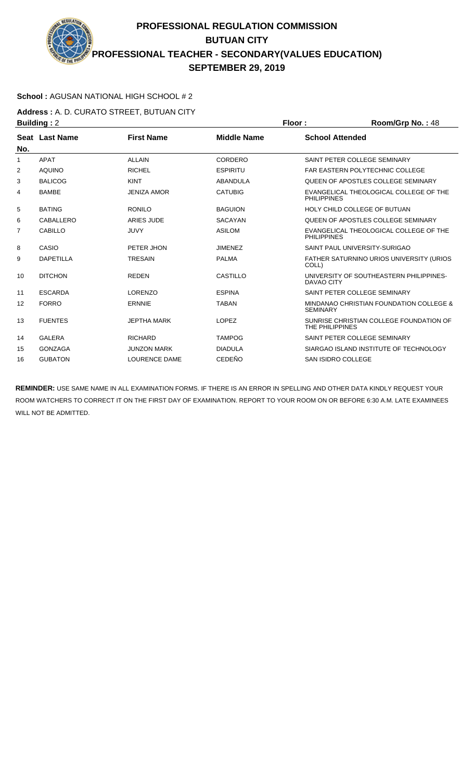## **PROFESSIONAL REGULATION COMMISSION BUTUAN CITY PROFESSIONAL TEACHER - SECONDARY(VALUES EDUCATION) SEPTEMBER 29, 2019**

## **School :** AGUSAN NATIONAL HIGH SCHOOL # 2

**Address :** A. D. CURATO STREET, BUTUAN CITY **Building : 2 Floor : Floor : Room/Grp No. : 48** 

| ринингу . д |                  |                      |                    | .                                                            |
|-------------|------------------|----------------------|--------------------|--------------------------------------------------------------|
| No.         | Seat Last Name   | <b>First Name</b>    | <b>Middle Name</b> | <b>School Attended</b>                                       |
| 1           | <b>APAT</b>      | <b>ALLAIN</b>        | CORDERO            | SAINT PETER COLLEGE SEMINARY                                 |
| 2           | <b>AQUINO</b>    | <b>RICHEL</b>        | <b>ESPIRITU</b>    | <b>FAR EASTERN POLYTECHNIC COLLEGE</b>                       |
| 3           | <b>BALICOG</b>   | <b>KINT</b>          | ABANDULA           | QUEEN OF APOSTLES COLLEGE SEMINARY                           |
| 4           | <b>BAMBE</b>     | <b>JENIZA AMOR</b>   | <b>CATUBIG</b>     | EVANGELICAL THEOLOGICAL COLLEGE OF THE<br><b>PHILIPPINES</b> |
| 5           | <b>BATING</b>    | <b>RONILO</b>        | <b>BAGUION</b>     | HOLY CHILD COLLEGE OF BUTUAN                                 |
| 6           | CABALLERO        | ARIES JUDE           | <b>SACAYAN</b>     | QUEEN OF APOSTLES COLLEGE SEMINARY                           |
| 7           | <b>CABILLO</b>   | <b>JUVY</b>          | <b>ASILOM</b>      | EVANGELICAL THEOLOGICAL COLLEGE OF THE<br><b>PHILIPPINES</b> |
| 8           | CASIO            | PETER JHON           | <b>JIMENEZ</b>     | SAINT PAUL UNIVERSITY-SURIGAO                                |
| 9           | <b>DAPETILLA</b> | <b>TRESAIN</b>       | <b>PALMA</b>       | FATHER SATURNINO URIOS UNIVERSITY (URIOS<br>COLL)            |
| 10          | <b>DITCHON</b>   | <b>REDEN</b>         | CASTILLO           | UNIVERSITY OF SOUTHEASTERN PHILIPPINES-<br>DAVAO CITY        |
| 11          | <b>ESCARDA</b>   | <b>LORENZO</b>       | <b>ESPINA</b>      | SAINT PETER COLLEGE SEMINARY                                 |
| 12          | <b>FORRO</b>     | <b>ERNNIE</b>        | <b>TABAN</b>       | MINDANAO CHRISTIAN FOUNDATION COLLEGE &<br><b>SEMINARY</b>   |
| 13          | <b>FUENTES</b>   | <b>JEPTHA MARK</b>   | <b>LOPEZ</b>       | SUNRISE CHRISTIAN COLLEGE FOUNDATION OF<br>THE PHILIPPINES   |
| 14          | <b>GALERA</b>    | <b>RICHARD</b>       | <b>TAMPOG</b>      | SAINT PETER COLLEGE SEMINARY                                 |
| 15          | <b>GONZAGA</b>   | <b>JUNZON MARK</b>   | <b>DIADULA</b>     | SIARGAO ISLAND INSTITUTE OF TECHNOLOGY                       |
| 16          | <b>GUBATON</b>   | <b>LOURENCE DAME</b> | <b>CEDEÑO</b>      | <b>SAN ISIDRO COLLEGE</b>                                    |

**REMINDER:** USE SAME NAME IN ALL EXAMINATION FORMS. IF THERE IS AN ERROR IN SPELLING AND OTHER DATA KINDLY REQUEST YOUR ROOM WATCHERS TO CORRECT IT ON THE FIRST DAY OF EXAMINATION. REPORT TO YOUR ROOM ON OR BEFORE 6:30 A.M. LATE EXAMINEES WILL NOT BE ADMITTED.